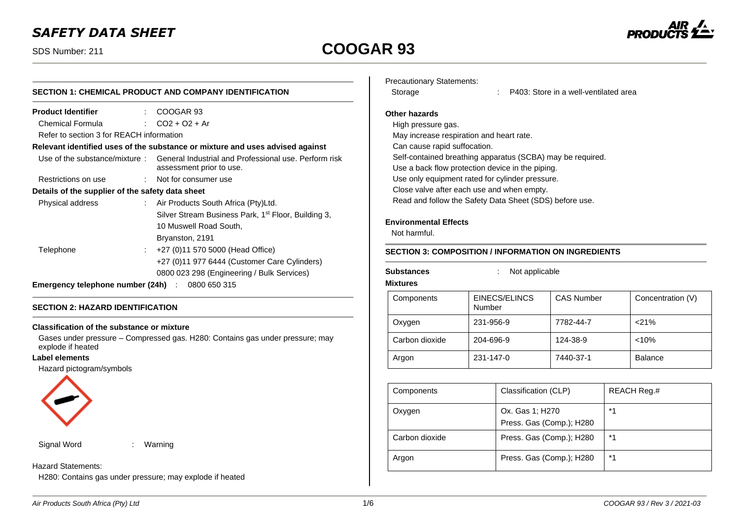# *SAFETY DATA SHEET*

# SDS Number: 211 **COOGAR 93**



| <b>SECTION 1: CHEMICAL PRODUCT AND COMPANY IDENTIFICATION</b>     |                                                                                                                 |  |  |
|-------------------------------------------------------------------|-----------------------------------------------------------------------------------------------------------------|--|--|
| <b>Product Identifier</b>                                         | COOGAR 93                                                                                                       |  |  |
| Chemical Formula                                                  | $CO2 + O2 + Ar$                                                                                                 |  |  |
| Refer to section 3 for REACH information                          |                                                                                                                 |  |  |
|                                                                   | Relevant identified uses of the substance or mixture and uses advised against                                   |  |  |
|                                                                   | Use of the substance/mixture: General Industrial and Professional use. Perform risk<br>assessment prior to use. |  |  |
| Restrictions on use                                               | : Not for consumer use                                                                                          |  |  |
| Details of the supplier of the safety data sheet                  |                                                                                                                 |  |  |
| Physical address                                                  | : Air Products South Africa (Pty)Ltd.                                                                           |  |  |
|                                                                   | Silver Stream Business Park, 1 <sup>st</sup> Floor, Building 3,                                                 |  |  |
|                                                                   | 10 Muswell Road South,                                                                                          |  |  |
|                                                                   | Bryanston, 2191                                                                                                 |  |  |
| Telephone                                                         | +27 (0)11 570 5000 (Head Office)                                                                                |  |  |
|                                                                   | +27 (0)11 977 6444 (Customer Care Cylinders)                                                                    |  |  |
|                                                                   | 0800 023 298 (Engineering / Bulk Services)                                                                      |  |  |
| <b>Emergency telephone number (24h)</b> $\therefore$ 0800 650 315 |                                                                                                                 |  |  |

# **SECTION 2: HAZARD IDENTIFICATION**

# **Classification of the substance or mixture**

Gases under pressure – Compressed gas. H280: Contains gas under pressure; may explode if heated

# **Label elements**

Hazard pictogram/symbols



Signal Word : Warning

# Hazard Statements:

H280: Contains gas under pressure; may explode if heated

| <b>Precautionary Statements:</b> |  |
|----------------------------------|--|
|----------------------------------|--|

| Storage |
|---------|
|---------|

: P403: Store in a well-ventilated area

#### **Other hazards**

High pressure gas. May increase respiration and heart rate. Can cause rapid suffocation. Self-contained breathing apparatus (SCBA) may be required. Use a back flow protection device in the piping. Use only equipment rated for cylinder pressure. Close valve after each use and when empty. Read and follow the Safety Data Sheet (SDS) before use.

### **Environmental Effects**

Not harmful.

# **SECTION 3: COMPOSITION / INFORMATION ON INGREDIENTS**

**Substances** : Not applicable

**Mixtures**

| Components     | EINECS/ELINCS<br>Number | <b>CAS Number</b> | Concentration (V) |
|----------------|-------------------------|-------------------|-------------------|
| Oxygen         | 231-956-9               | 7782-44-7         | $<$ 21%           |
| Carbon dioxide | 204-696-9               | 124-38-9          | $< 10\%$          |
| Argon          | 231-147-0               | 7440-37-1         | <b>Balance</b>    |

| Components     | Classification (CLP)                        | REACH Reg.# |
|----------------|---------------------------------------------|-------------|
| Oxygen         | Ox. Gas 1; H270<br>Press. Gas (Comp.); H280 | *1          |
| Carbon dioxide | Press. Gas (Comp.); H280                    | $*_{1}$     |
| Argon          | Press. Gas (Comp.); H280                    | $*_{1}$     |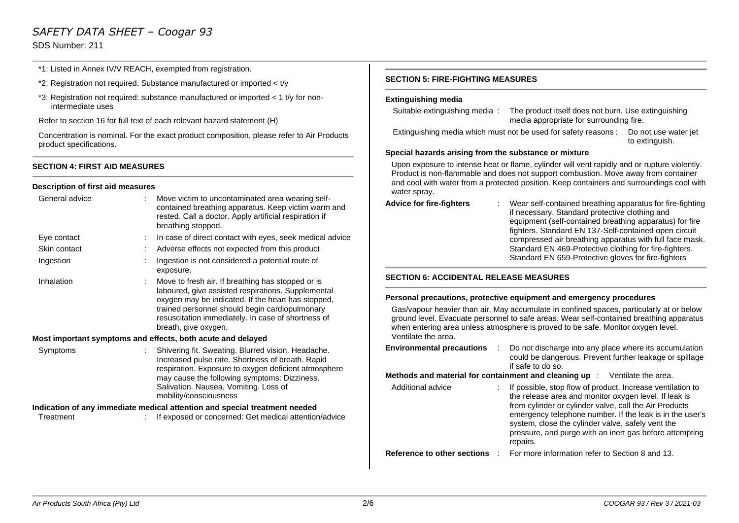# *SAFETY DATA SHEET – Coogar 93*

SDS Number: 211

- \*1: Listed in Annex IV/V REACH, exempted from registration.
- \*2: Registration not required. Substance manufactured or imported < t/y
- \*3: Registration not required: substance manufactured or imported < 1 t/y for nonintermediate uses

Refer to section 16 for full text of each relevant hazard statement (H)

Concentration is nominal. For the exact product composition, please refer to Air Products product specifications.

# **SECTION 4: FIRST AID MEASURES**

### **Description of first aid measures**

| General advice |   | Move victim to uncontaminated area wearing self-<br>contained breathing apparatus. Keep victim warm and<br>rested. Call a doctor. Apply artificial respiration if<br>breathing stopped.                                                                                                       |
|----------------|---|-----------------------------------------------------------------------------------------------------------------------------------------------------------------------------------------------------------------------------------------------------------------------------------------------|
| Eye contact    | ÷ | In case of direct contact with eyes, seek medical advice                                                                                                                                                                                                                                      |
| Skin contact   | ÷ | Adverse effects not expected from this product                                                                                                                                                                                                                                                |
| Ingestion      |   | Ingestion is not considered a potential route of<br>exposure.                                                                                                                                                                                                                                 |
| Inhalation     |   | Move to fresh air. If breathing has stopped or is<br>laboured, give assisted respirations. Supplemental<br>oxygen may be indicated. If the heart has stopped,<br>trained personnel should begin cardiopulmonary<br>resuscitation immediately. In case of shortness of<br>breath, give oxygen. |
|                |   | Most important symptoms and effects, both acute and delayed                                                                                                                                                                                                                                   |
| Symptoms       |   | Shivering fit. Sweating. Blurred vision. Headache.<br>Increased pulse rate. Shortness of breath. Rapid<br>respiration. Exposure to oxygen deficient atmosphere<br>may cause the following symptoms: Dizziness.<br>Salivation. Nausea. Vomiting. Loss of<br>mobility/consciousness             |
|                |   | Indication of any immediate medical attention and special treatment needed                                                                                                                                                                                                                    |
| Treatment      |   | If exposed or concerned: Get medical attention/advice                                                                                                                                                                                                                                         |

# **SECTION 5: FIRE-FIGHTING MEASURES**

#### **Extinguishing media**

| Suitable extinguishing media:                                  | The product itself does not burn. Use extinguishing |                      |
|----------------------------------------------------------------|-----------------------------------------------------|----------------------|
|                                                                | media appropriate for surrounding fire.             |                      |
| Extinguishing media which must not be used for safety reasons: |                                                     | Do not use water jet |

#### **Special hazards arising from the substance or mixture**

Upon exposure to intense heat or flame, cylinder will vent rapidly and or rupture violently. Product is non-flammable and does not support combustion. Move away from container and cool with water from a protected position. Keep containers and surroundings cool with water spray.

**Advice for fire-fighters** : Wear self-contained breathing apparatus for fire-fighting if necessary. Standard protective clothing and equipment (self-contained breathing apparatus) for fire fighters. Standard EN 137-Self-contained open circuit compressed air breathing apparatus with full face mask. Standard EN 469-Protective clothing for fire-fighters. Standard EN 659-Protective gloves for fire-fighters

# **SECTION 6: ACCIDENTAL RELEASE MEASURES**

#### **Personal precautions, protective equipment and emergency procedures**

Gas/vapour heavier than air. May accumulate in confined spaces, particularly at or below ground level. Evacuate personnel to safe areas. Wear self-contained breathing apparatus when entering area unless atmosphere is proved to be safe. Monitor oxygen level. Ventilate the area.

| <b>Environmental precautions</b><br>÷ | Do not discharge into any place where its accumulation<br>could be dangerous. Prevent further leakage or spillage<br>if safe to do so.                                                                                                                                                                                                                    |
|---------------------------------------|-----------------------------------------------------------------------------------------------------------------------------------------------------------------------------------------------------------------------------------------------------------------------------------------------------------------------------------------------------------|
|                                       | <b>Methods and material for containment and cleaning up</b> : Ventilate the area.                                                                                                                                                                                                                                                                         |
| Additional advice                     | If possible, stop flow of product. Increase ventilation to<br>the release area and monitor oxygen level. If leak is<br>from cylinder or cylinder valve, call the Air Products<br>emergency telephone number. If the leak is in the user's<br>system, close the cylinder valve, safely vent the<br>pressure, and purge with an inert gas before attempting |

**Reference to other sections** : For more information refer to Section 8 and 13.

repairs.

to extinguish.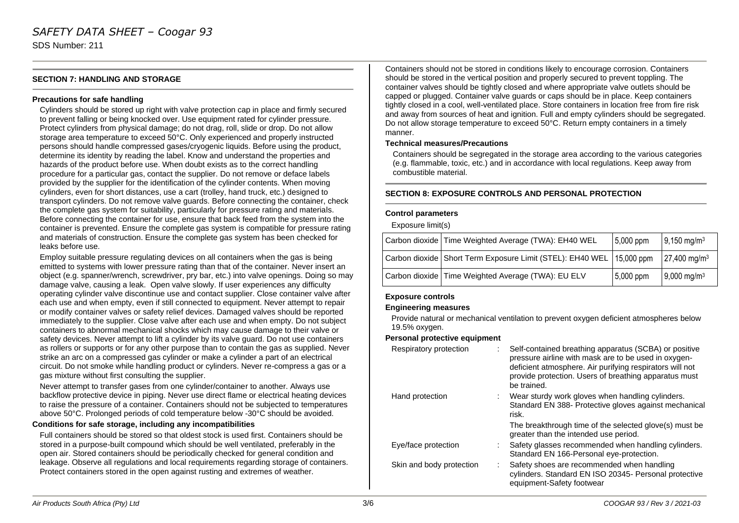# **SECTION 7: HANDLING AND STORAGE**

#### **Precautions for safe handling**

Cylinders should be stored up right with valve protection cap in place and firmly secured to prevent falling or being knocked over. Use equipment rated for cylinder pressure. Protect cylinders from physical damage; do not drag, roll, slide or drop. Do not allow storage area temperature to exceed 50°C. Only experienced and properly instructed persons should handle compressed gases/cryogenic liquids. Before using the product, determine its identity by reading the label. Know and understand the properties and hazards of the product before use. When doubt exists as to the correct handling procedure for a particular gas, contact the supplier. Do not remove or deface labels provided by the supplier for the identification of the cylinder contents. When moving cylinders, even for short distances, use a cart (trolley, hand truck, etc.) designed to transport cylinders. Do not remove valve guards. Before connecting the container, check the complete gas system for suitability, particularly for pressure rating and materials. Before connecting the container for use, ensure that back feed from the system into the container is prevented. Ensure the complete gas system is compatible for pressure rating and materials of construction. Ensure the complete gas system has been checked for leaks before use.

Employ suitable pressure regulating devices on all containers when the gas is being emitted to systems with lower pressure rating than that of the container. Never insert an object (e.g. spanner/wrench, screwdriver, pry bar, etc.) into valve openings. Doing so may damage valve, causing a leak. Open valve slowly. If user experiences any difficulty operating cylinder valve discontinue use and contact supplier. Close container valve after each use and when empty, even if still connected to equipment. Never attempt to repair or modify container valves or safety relief devices. Damaged valves should be reported immediately to the supplier. Close valve after each use and when empty. Do not subject containers to abnormal mechanical shocks which may cause damage to their valve or safety devices. Never attempt to lift a cylinder by its valve guard. Do not use containers as rollers or supports or for any other purpose than to contain the gas as supplied. Never strike an arc on a compressed gas cylinder or make a cylinder a part of an electrical circuit. Do not smoke while handling product or cylinders. Never re-compress a gas or a gas mixture without first consulting the supplier.

Never attempt to transfer gases from one cylinder/container to another. Always use backflow protective device in piping. Never use direct flame or electrical heating devices to raise the pressure of a container. Containers should not be subjected to temperatures above 50°C. Prolonged periods of cold temperature below -30°C should be avoided.

#### **Conditions for safe storage, including any incompatibilities**

Full containers should be stored so that oldest stock is used first. Containers should be stored in a purpose-built compound which should be well ventilated, preferably in the open air. Stored containers should be periodically checked for general condition and leakage. Observe all regulations and local requirements regarding storage of containers. Protect containers stored in the open against rusting and extremes of weather.

Containers should not be stored in conditions likely to encourage corrosion. Containers should be stored in the vertical position and properly secured to prevent toppling. The container valves should be tightly closed and where appropriate valve outlets should be capped or plugged. Container valve guards or caps should be in place. Keep containers tightly closed in a cool, well-ventilated place. Store containers in location free from fire risk and away from sources of heat and ignition. Full and empty cylinders should be segregated. Do not allow storage temperature to exceed 50°C. Return empty containers in a timely manner.

#### **Technical measures/Precautions**

Containers should be segregated in the storage area according to the various categories (e.g. flammable, toxic, etc.) and in accordance with local regulations. Keep away from combustible material.

# **SECTION 8: EXPOSURE CONTROLS AND PERSONAL PROTECTION**

#### **Control parameters**

Exposure limit(s)

| Carbon dioxide   Time Weighted Average (TWA): EH40 WEL               | $5,000$ ppm | $9,150 \text{ mg/m}^3$     |
|----------------------------------------------------------------------|-------------|----------------------------|
| Carbon dioxide Short Term Exposure Limit (STEL): EH40 WEL 15,000 ppm |             | $27,400$ mg/m <sup>3</sup> |
| Carbon dioxide Time Weighted Average (TWA): EU ELV                   | 5,000 ppm   | $9,000 \text{ mg/m}^3$     |

#### **Exposure controls**

### **Engineering measures**

Provide natural or mechanical ventilation to prevent oxygen deficient atmospheres below 19.5% oxygen.

#### **Personal protective equipment**

| Respiratory protection   | Self-contained breathing apparatus (SCBA) or positive<br>pressure airline with mask are to be used in oxygen-<br>deficient atmosphere. Air purifying respirators will not<br>provide protection. Users of breathing apparatus must<br>be trained. |
|--------------------------|---------------------------------------------------------------------------------------------------------------------------------------------------------------------------------------------------------------------------------------------------|
| Hand protection          | : Wear sturdy work gloves when handling cylinders.<br>Standard EN 388- Protective gloves against mechanical<br>risk.                                                                                                                              |
|                          | The breakthrough time of the selected glove(s) must be<br>greater than the intended use period.                                                                                                                                                   |
| Eye/face protection      | Safety glasses recommended when handling cylinders.<br>Standard EN 166-Personal eye-protection.                                                                                                                                                   |
| Skin and body protection | Safety shoes are recommended when handling<br>cylinders. Standard EN ISO 20345- Personal protective<br>equipment-Safety footwear                                                                                                                  |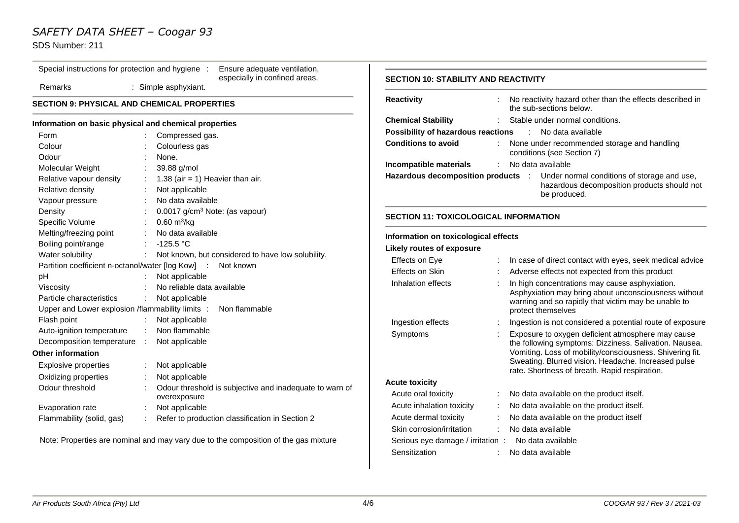# *SAFETY DATA SHEET – Coogar 93*

SDS Number: 211

Special instructions for protection and hygiene : Ensure adequate ventilation, especially in confined areas.

Remarks : Simple asphyxiant.

# **SECTION 9: PHYSICAL AND CHEMICAL PROPERTIES**

#### **Information on basic physical and chemical properties**

| Form                                       |                             | Compressed gas.                                                         |
|--------------------------------------------|-----------------------------|-------------------------------------------------------------------------|
| Colour                                     |                             | Colourless gas                                                          |
| Odour                                      |                             | None.                                                                   |
| Molecular Weight                           |                             | 39.88 g/mol                                                             |
| Relative vapour density                    | ÷.                          | 1.38 (air = 1) Heavier than air.                                        |
| Relative density                           |                             | Not applicable                                                          |
| Vapour pressure                            |                             | No data available                                                       |
| Density                                    |                             | 0.0017 g/cm <sup>3</sup> Note: (as vapour)                              |
| Specific Volume                            |                             | $0.60 \text{ m}^3/\text{kg}$                                            |
| Melting/freezing point                     |                             | : No data available                                                     |
| Boiling point/range                        |                             | : $-125.5$ °C                                                           |
| Water solubility                           |                             | : Not known, but considered to have low solubility.                     |
|                                            |                             | Partition coefficient n-octanol/water [log Kow] : Not known             |
| pH                                         |                             | Not applicable                                                          |
| Viscosity                                  |                             | No reliable data available                                              |
| Particle characteristics                   | ÷                           | Not applicable                                                          |
|                                            |                             | Upper and Lower explosion /flammability limits : Non flammable          |
| Flash point                                | ÷.                          | Not applicable                                                          |
| Auto-ignition temperature                  |                             | : Non flammable                                                         |
| Decomposition temperature : Not applicable |                             |                                                                         |
| <b>Other information</b>                   |                             |                                                                         |
| Explosive properties                       | ÷                           | Not applicable                                                          |
| Oxidizing properties                       |                             | Not applicable                                                          |
| Odour threshold                            |                             | Odour threshold is subjective and inadequate to warn of<br>overexposure |
| Evaporation rate                           | ÷                           | Not applicable                                                          |
| Flammability (solid, gas)                  | $\mathbb{Z}^{\mathbb{Z}}$ . | Refer to production classification in Section 2                         |
|                                            |                             |                                                                         |

Note: Properties are nominal and may vary due to the composition of the gas mixture

# **SECTION 10: STABILITY AND REACTIVITY Reactivity Reactivity Reactivity Reactivity hazard other than the effects described in** the sub-sections below. **Chemical Stability** : Stable under normal conditions. **Possibility of hazardous reactions** : No data available **Conditions to avoid** : None under recommended storage and handling conditions (see Section 7) **Incompatible materials** : No data available **Hazardous decomposition products** : Under normal conditions of storage and use, hazardous decomposition products should not be produced. **SECTION 11: TOXICOLOGICAL INFORMATION Information on toxicological effects Likely routes of exposure** Effects on Eye : In case of direct contact with eyes, seek medical advice Effects on Skin : Adverse effects not expected from this product Inhalation effects : In high concentrations may cause asphyxiation. Asphyxiation may bring about unconsciousness without warning and so rapidly that victim may be unable to protect themselves Ingestion effects : Ingestion is not considered a potential route of exposure Symptoms : Exposure to oxygen deficient atmosphere may cause the following symptoms: Dizziness. Salivation. Nausea. Vomiting. Loss of mobility/consciousness. Shivering fit. Sweating. Blurred vision. Headache. Increased pulse rate. Shortness of breath. Rapid respiration. **Acute toxicity** Acute oral toxicity : No data available on the product itself. Acute inhalation toxicity : No data available on the product itself.

Acute dermal toxicity : No data available on the product itself

Skin corrosion/irritation : No data available

Serious eye damage / irritation : No data available Sensitization : No data available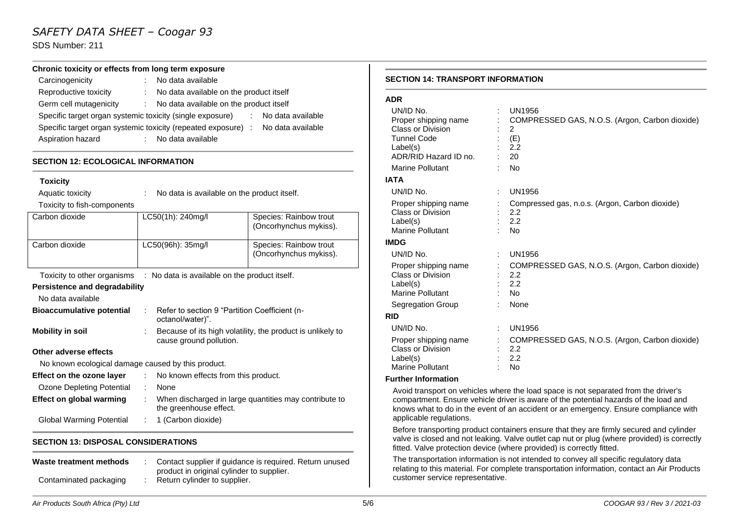# *SAFETY DATA SHEET – Coogar 93*

SDS Number: 211

#### **Chronic toxicity or effects from long term exposure**

| Carcinogenicity                                           | No data available                                                                  |  |
|-----------------------------------------------------------|------------------------------------------------------------------------------------|--|
| Reproductive toxicity                                     | No data available on the product itself                                            |  |
| Germ cell mutagenicity                                    | No data available on the product itself<br>÷.                                      |  |
| Specific target organ systemic toxicity (single exposure) | No data available<br>÷.                                                            |  |
|                                                           | Specific target organ systemic toxicity (repeated exposure) :<br>No data available |  |
| Aspiration hazard                                         | No data available                                                                  |  |

# **SECTION 12: ECOLOGICAL INFORMATION**

### **Toxicity**

Aquatic toxicity : No data is available on the product itself. Toxicity to fish-components

| <b>PONICITY TO HOLL COMPONICITIO</b>                                      |                   |                                                                                       |                                                       |  |  |
|---------------------------------------------------------------------------|-------------------|---------------------------------------------------------------------------------------|-------------------------------------------------------|--|--|
| Carbon dioxide                                                            |                   | LC50(1h): 240mg/l                                                                     | Species: Rainbow trout<br>(Oncorhynchus mykiss).      |  |  |
| Carbon dioxide                                                            | LC50(96h): 35mg/l |                                                                                       | Species: Rainbow trout<br>(Oncorhynchus mykiss).      |  |  |
| Toxicity to other organisms : No data is available on the product itself. |                   |                                                                                       |                                                       |  |  |
| Persistence and degradability                                             |                   |                                                                                       |                                                       |  |  |
| No data available                                                         |                   |                                                                                       |                                                       |  |  |
| <b>Bioaccumulative potential</b>                                          | ÷                 | Refer to section 9 "Partition Coefficient (n-<br>octanol/water)".                     |                                                       |  |  |
| <b>Mobility in soil</b>                                                   |                   | Because of its high volatility, the product is unlikely to<br>cause ground pollution. |                                                       |  |  |
| Other adverse effects                                                     |                   |                                                                                       |                                                       |  |  |
| No known ecological damage caused by this product.                        |                   |                                                                                       |                                                       |  |  |
| Effect on the ozone layer                                                 | ÷.                | No known effects from this product.                                                   |                                                       |  |  |
| Ozone Depleting Potential                                                 | None<br>÷         |                                                                                       |                                                       |  |  |
| Effect on global warming                                                  |                   | the greenhouse effect.                                                                | When discharged in large quantities may contribute to |  |  |
| Global Warming Potential                                                  |                   | 1 (Carbon dioxide)                                                                    |                                                       |  |  |

# **SECTION 13: DISPOSAL CONSIDERATIONS**

| Waste treatment methods | Contact supplier if guidance is required. Return unused<br>product in original cylinder to supplier. |
|-------------------------|------------------------------------------------------------------------------------------------------|
| Contaminated packaging  | Return cylinder to supplier.                                                                         |

#### **SECTION 14: TRANSPORT INFORMATION**

# **ADR**

| UN/ID No.<br>Proper shipping name<br>Class or Division<br><b>Tunnel Code</b><br>Label(s)<br>ADR/RID Hazard ID no.<br>Marine Pollutant |    | UN1956<br>COMPRESSED GAS, N.O.S. (Argon, Carbon dioxide)<br>2<br>(E)<br>2.2<br>20<br><b>No</b> |
|---------------------------------------------------------------------------------------------------------------------------------------|----|------------------------------------------------------------------------------------------------|
| <b>IATA</b>                                                                                                                           |    |                                                                                                |
| UN/ID No.                                                                                                                             | ÷. | <b>UN1956</b>                                                                                  |
| Proper shipping name<br>Class or Division<br>Label(s)<br>Marine Pollutant                                                             |    | Compressed gas, n.o.s. (Argon, Carbon dioxide)<br>2.2<br>2.2<br><b>No</b>                      |
| <b>IMDG</b>                                                                                                                           |    |                                                                                                |
| UN/ID No.                                                                                                                             | ÷  | UN1956                                                                                         |
| Proper shipping name<br>Class or Division<br>Label(s)<br>Marine Pollutant                                                             |    | COMPRESSED GAS, N.O.S. (Argon, Carbon dioxide)<br>2.2<br>2.2<br>No                             |
| Segregation Group                                                                                                                     |    | None                                                                                           |
| <b>RID</b>                                                                                                                            |    |                                                                                                |
| UN/ID No.<br>Proper shipping name<br>Class or Division<br>Label(s)<br><b>Marine Pollutant</b>                                         |    | UN1956<br>COMPRESSED GAS, N.O.S. (Argon, Carbon dioxide)<br>2.2<br>2.2<br><b>No</b>            |

#### **Further Information**

Avoid transport on vehicles where the load space is not separated from the driver's compartment. Ensure vehicle driver is aware of the potential hazards of the load and knows what to do in the event of an accident or an emergency. Ensure compliance with applicable regulations.

Before transporting product containers ensure that they are firmly secured and cylinder valve is closed and not leaking. Valve outlet cap nut or plug (where provided) is correctly fitted. Valve protection device (where provided) is correctly fitted.

The transportation information is not intended to convey all specific regulatory data relating to this material. For complete transportation information, contact an Air Products customer service representative.